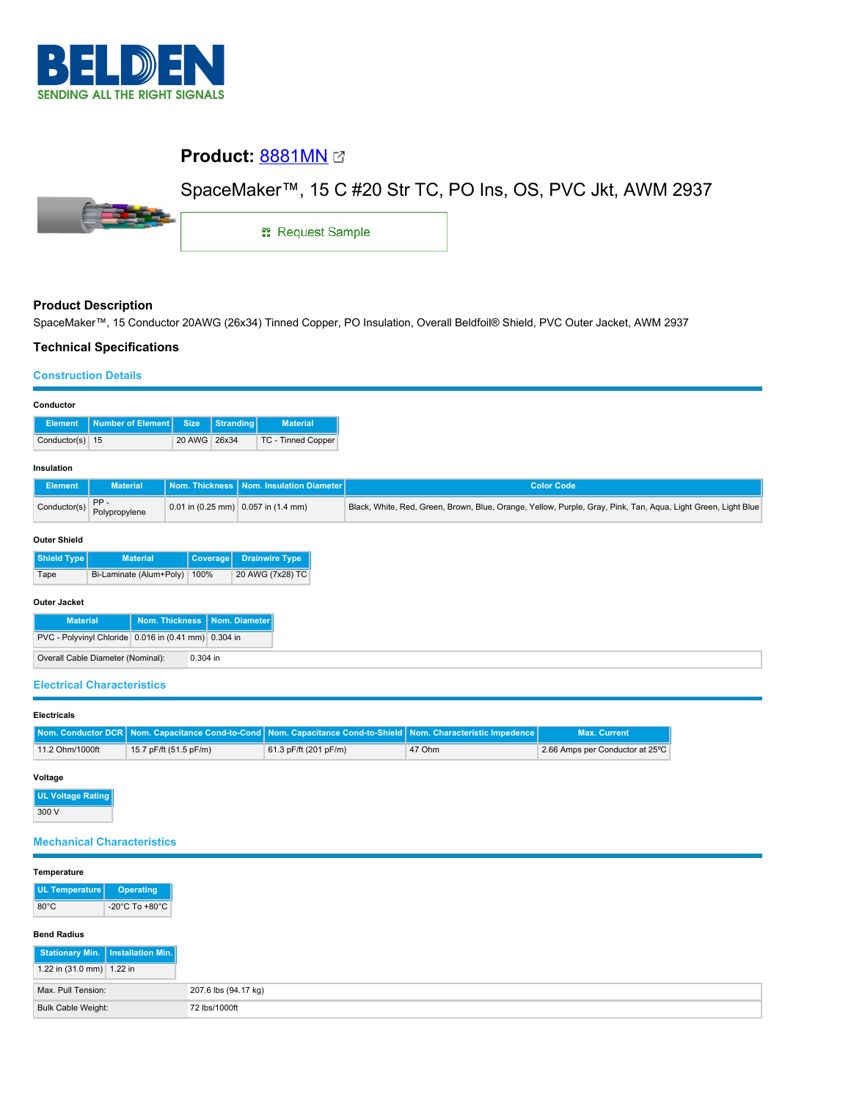

# **Product: [8881MN](https://catalog.belden.com/index.cfm?event=pd&p=PF_8881MN&tab=downloads) @**



SpaceMaker™, 15 C #20 Str TC, PO Ins, OS, PVC Jkt, AWM 2937

1: Request Sample

# **Product Description**

SpaceMaker™, 15 Conductor 20AWG (26x34) Tinned Copper, PO Insulation, Overall Beldfoil® Shield, PVC Outer Jacket, AWM 2937

# **Technical Specifications**

## **Construction Details**

|                   | Element Number of Element Size Stranding |              | <b>Material</b>    |
|-------------------|------------------------------------------|--------------|--------------------|
| Conductor(s) $15$ |                                          | 20 AWG 26x34 | TC - Tinned Copper |

#### **Insulation**

| Element                                        | <b>Material</b> | Nom. Thickness   Nom. Insulation Diameter   | <b>Color Code</b>                                                                                             |
|------------------------------------------------|-----------------|---------------------------------------------|---------------------------------------------------------------------------------------------------------------|
| Conductor(s) $\begin{bmatrix} 5 \end{bmatrix}$ | Polypropylene   | $\vert$ 0.01 in (0.25 mm) 0.057 in (1.4 mm) | Black, White, Red, Green, Brown, Blue, Orange, Yellow, Purple, Gray, Pink, Tan, Aqua, Light Green, Light Blue |

#### **Outer Shield**

| Shield Type | <b>Material</b>              | Coverage Drainwire Type |
|-------------|------------------------------|-------------------------|
| Tape        | Bi-Laminate (Alum+Poly) 100% | 20 AWG (7x28) TC        |

### **Outer Jacket**

| <b>Material</b>                                      | Nom. Thickness Nom. Diameter |
|------------------------------------------------------|------------------------------|
| PVC - Polyvinyl Chloride 0.016 in (0.41 mm) 0.304 in |                              |
| Overall Cable Diameter (Nominal):                    | $0.304$ in                   |

### **Electrical Characteristics**

#### **Electricals**

|                 |                        | <b>Nom. Conductor DCR   Nom. Capacitance Cond-to-Cond   Nom. Capacitance Cond-to-Shield   Nom. Characteristic Impedence  </b> |        | <b>Max. Current</b>             |
|-----------------|------------------------|-------------------------------------------------------------------------------------------------------------------------------|--------|---------------------------------|
| 11.2 Ohm/1000ft | 15.7 pF/ft (51.5 pF/m) | 61.3 pF/ft (201 pF/m)                                                                                                         | 47 Ohm | 2.66 Amps per Conductor at 25°C |

#### **Voltage**

**UL Voltage Rating** 300 V

# **Mechanical Characteristics**

#### **Temperature**

| UL Temperature | <b>Operating</b>                     |
|----------------|--------------------------------------|
| $80^{\circ}$ C | -20 $^{\circ}$ C To +80 $^{\circ}$ C |

#### **Bend Radius**

| Stationary Min.   Installation Min. |  |
|-------------------------------------|--|
| 1.22 in $(31.0 \text{ mm})$ 1.22 in |  |
| Max. Pull Tension:                  |  |
| Bulk Cable Weight:                  |  |